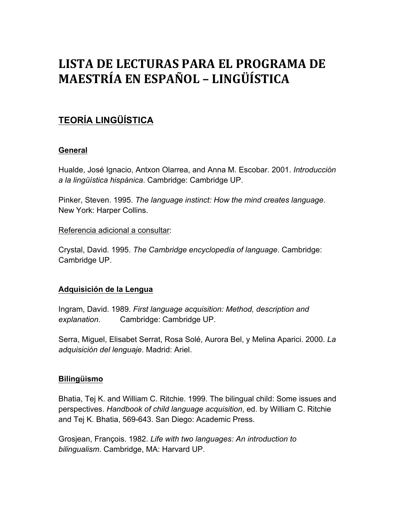# LISTA DE LECTURAS PARA EL PROGRAMA DE **MAESTRÍA EN ESPAÑOL – LINGÜÍSTICA**

# **TEORÍA LINGÜÍSTICA**

### **General**

Hualde, José Ignacio, Antxon Olarrea, and Anna M. Escobar. 2001. *Introducción a la lingüística hispánica*. Cambridge: Cambridge UP.

Pinker, Steven. 1995. *The language instinct: How the mind creates language*. New York: Harper Collins.

Referencia adicional a consultar:

Crystal, David. 1995. *The Cambridge encyclopedia of language*. Cambridge: Cambridge UP.

### **Adquisición de la Lengua**

Ingram, David. 1989. *First language acquisition: Method, description and explanation*. Cambridge: Cambridge UP.

Serra, Miguel, Elisabet Serrat, Rosa Solé, Aurora Bel, y Melina Aparici. 2000. *La adquisición del lenguaje*. Madrid: Ariel.

#### **Bilingüismo**

Bhatia, Tej K. and William C. Ritchie. 1999. The bilingual child: Some issues and perspectives. *Handbook of child language acquisition*, ed. by William C. Ritchie and Tej K. Bhatia, 569-643. San Diego: Academic Press.

Grosjean, François. 1982. *Life with two languages: An introduction to bilingualism*. Cambridge, MA: Harvard UP.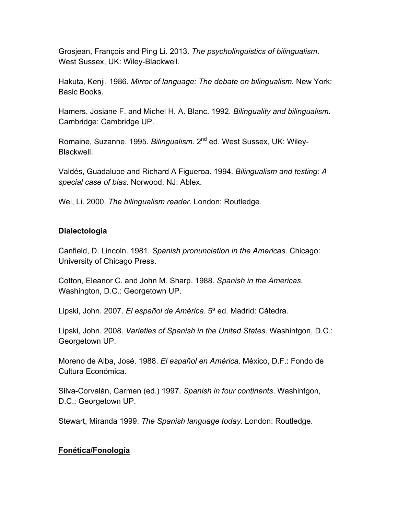Grosjean, François and Ping Li. 2013. *The psycholinguistics of bilingualism*. West Sussex, UK: Wiley-Blackwell.

Hakuta, Kenji. 1986. *Mirror of language: The debate on bilingualism.* New York: Basic Books.

Hamers, Josiane F. and Michel H. A. Blanc. 1992. *Bilinguality and bilingualism*. Cambridge: Cambridge UP.

Romaine, Suzanne. 1995. *Bilingualism.* 2<sup>nd</sup> ed. West Sussex, UK: Wiley-Blackwell.

Valdés, Guadalupe and Richard A Figueroa. 1994. *Bilingualism and testing: A special case of bias*. Norwood, NJ: Ablex.

Wei, Li. 2000. *The bilingualism reader*. London: Routledge.

#### **Dialectología**

Canfield, D. Lincoln. 1981. *Spanish pronunciation in the Americas*. Chicago: University of Chicago Press.

Cotton, Eleanor C. and John M. Sharp. 1988. *Spanish in the Americas*. Washington, D.C.: Georgetown UP.

Lipski, John. 2007. *El español de América*. 5ª ed. Madrid: Cátedra.

Lipski, John. 2008. *Varieties of Spanish in the United States*. Washintgon, D.C.: Georgetown UP.

Moreno de Alba, José. 1988. *El español en América*. México, D.F.: Fondo de Cultura Económica.

Silva-Corvalán, Carmen (ed.) 1997. *Spanish in four continents*. Washintgon, D.C.: Georgetown UP.

Stewart, Miranda 1999. *The Spanish language today*. London: Routledge.

### **Fonética/Fonología**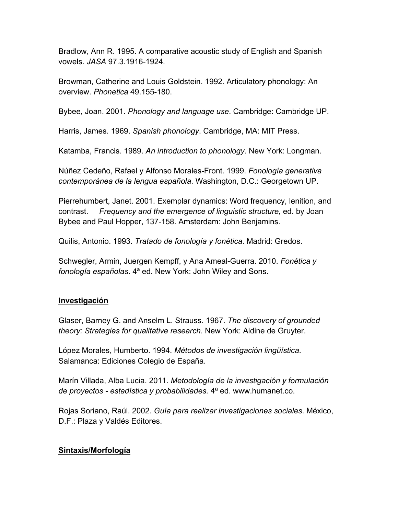Bradlow, Ann R. 1995. A comparative acoustic study of English and Spanish vowels. *JASA* 97.3.1916-1924.

Browman, Catherine and Louis Goldstein. 1992. Articulatory phonology: An overview. *Phonetica* 49.155-180.

Bybee, Joan. 2001. *Phonology and language use*. Cambridge: Cambridge UP.

Harris, James. 1969. *Spanish phonology*. Cambridge, MA: MIT Press.

Katamba, Francis. 1989. *An introduction to phonology*. New York: Longman.

Núñez Cedeño, Rafael y Alfonso Morales-Front. 1999. *Fonología generativa contemporánea de la lengua española*. Washington, D.C.: Georgetown UP.

Pierrehumbert, Janet. 2001. Exemplar dynamics: Word frequency, lenition, and contrast. *Frequency and the emergence of linguistic structure*, ed. by Joan Bybee and Paul Hopper, 137-158. Amsterdam: John Benjamins.

Quilis, Antonio. 1993. *Tratado de fonología y fonética*. Madrid: Gredos.

Schwegler, Armin, Juergen Kempff, y Ana Ameal-Guerra. 2010. *Fonética y fonología españolas*. 4ª ed. New York: John Wiley and Sons.

#### **Investigación**

Glaser, Barney G. and Anselm L. Strauss. 1967. *The discovery of grounded theory: Strategies for qualitative research.* New York: Aldine de Gruyter.

López Morales, Humberto. 1994. *Métodos de investigación lingüística*. Salamanca: Ediciones Colegio de España.

Marín Villada, Alba Lucia. 2011. *Metodología de la investigación y formulación de proyectos - estadística y probabilidades.* 4ª ed. www.humanet.co.

Rojas Soriano, Raúl. 2002. *Guía para realizar investigaciones sociales*. México, D.F.: Plaza y Valdés Editores.

#### **Sintaxis/Morfología**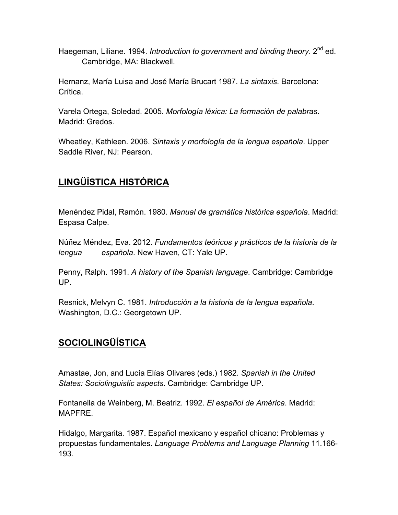Haegeman, Liliane. 1994. *Introduction to government and binding theory*. 2<sup>nd</sup> ed. Cambridge, MA: Blackwell.

Hernanz, María Luisa and José María Brucart 1987. *La sintaxis*. Barcelona: Crítica.

Varela Ortega, Soledad. 2005. *Morfología léxica: La formación de palabras*. Madrid: Gredos.

Wheatley, Kathleen. 2006. *Sintaxis y morfología de la lengua española*. Upper Saddle River, NJ: Pearson.

# **LINGÜÍSTICA HISTÓRICA**

Menéndez Pidal, Ramón. 1980. *Manual de gramática histórica española*. Madrid: Espasa Calpe.

Núñez Méndez, Eva. 2012. *Fundamentos teóricos y prácticos de la historia de la lengua española*. New Haven, CT: Yale UP.

Penny, Ralph. 1991. *A history of the Spanish language*. Cambridge: Cambridge UP.

Resnick, Melvyn C. 1981. *Introducción a la historia de la lengua española*. Washington, D.C.: Georgetown UP.

### **SOCIOLINGÜÍSTICA**

Amastae, Jon, and Lucía Elías Olivares (eds.) 1982. *Spanish in the United States: Sociolinguistic aspects*. Cambridge: Cambridge UP.

Fontanella de Weinberg, M. Beatriz. 1992. *El español de América*. Madrid: MAPFRE.

Hidalgo, Margarita. 1987. Español mexicano y español chicano: Problemas y propuestas fundamentales. *Language Problems and Language Planning* 11.166- 193.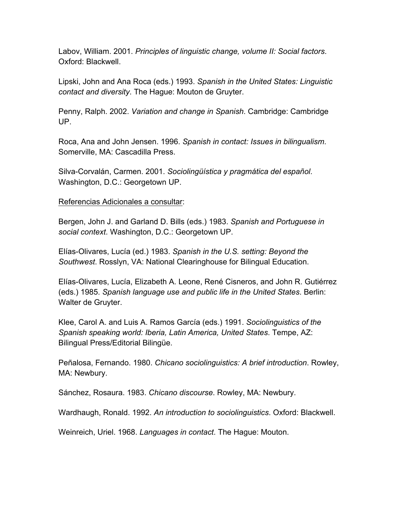Labov, William. 2001. *Principles of linguistic change, volume II: Social factors*. Oxford: Blackwell.

Lipski, John and Ana Roca (eds.) 1993. *Spanish in the United States: Linguistic contact and diversity*. The Hague: Mouton de Gruyter.

Penny, Ralph. 2002. *Variation and change in Spanish*. Cambridge: Cambridge UP.

Roca, Ana and John Jensen. 1996. *Spanish in contact: Issues in bilingualism*. Somerville, MA: Cascadilla Press.

Silva-Corvalán, Carmen. 2001. *Sociolingüística y pragmática del español*. Washington, D.C.: Georgetown UP.

Referencias Adicionales a consultar:

Bergen, John J. and Garland D. Bills (eds.) 1983. *Spanish and Portuguese in social context*. Washington, D.C.: Georgetown UP.

Elías-Olivares, Lucía (ed.) 1983. *Spanish in the U.S. setting: Beyond the Southwest*. Rosslyn, VA: National Clearinghouse for Bilingual Education.

Elías-Olivares, Lucía, Elizabeth A. Leone, René Cisneros, and John R. Gutiérrez (eds.) 1985. *Spanish language use and public life in the United States*. Berlin: Walter de Gruyter.

Klee, Carol A. and Luis A. Ramos García (eds.) 1991. *Sociolinguistics of the Spanish speaking world: Iberia, Latin America, United States*. Tempe, AZ: Bilingual Press/Editorial Bilingüe.

Peñalosa, Fernando. 1980. *Chicano sociolinguistics: A brief introduction*. Rowley, MA: Newbury.

Sánchez, Rosaura. 1983. *Chicano discourse*. Rowley, MA: Newbury.

Wardhaugh, Ronald. 1992. *An introduction to sociolinguistics*. Oxford: Blackwell.

Weinreich, Uriel. 1968. *Languages in contact*. The Hague: Mouton.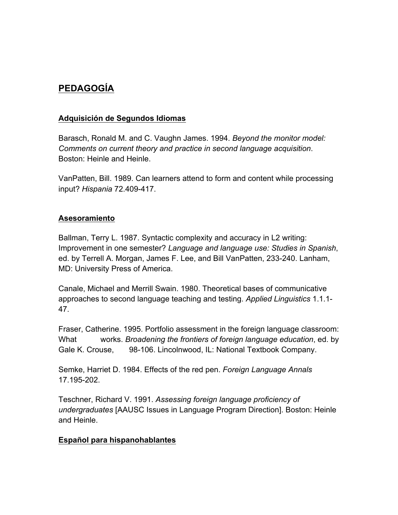## **PEDAGOGÍA**

#### **Adquisición de Segundos Idiomas**

Barasch, Ronald M. and C. Vaughn James. 1994. *Beyond the monitor model: Comments on current theory and practice in second language acquisition*. Boston: Heinle and Heinle.

VanPatten, Bill. 1989. Can learners attend to form and content while processing input? *Hispania* 72.409-417.

#### **Asesoramiento**

Ballman, Terry L. 1987. Syntactic complexity and accuracy in L2 writing: Improvement in one semester? *Language and language use: Studies in Spanish*, ed. by Terrell A. Morgan, James F. Lee, and Bill VanPatten, 233-240. Lanham, MD: University Press of America.

Canale, Michael and Merrill Swain. 1980. Theoretical bases of communicative approaches to second language teaching and testing. *Applied Linguistics* 1.1.1- 47.

Fraser, Catherine. 1995. Portfolio assessment in the foreign language classroom: What works. *Broadening the frontiers of foreign language education*, ed. by Gale K. Crouse, 98-106. Lincolnwood, IL: National Textbook Company.

Semke, Harriet D. 1984. Effects of the red pen. *Foreign Language Annals* 17.195-202.

Teschner, Richard V. 1991. *Assessing foreign language proficiency of undergraduates* [AAUSC Issues in Language Program Direction]. Boston: Heinle and Heinle.

#### **Español para hispanohablantes**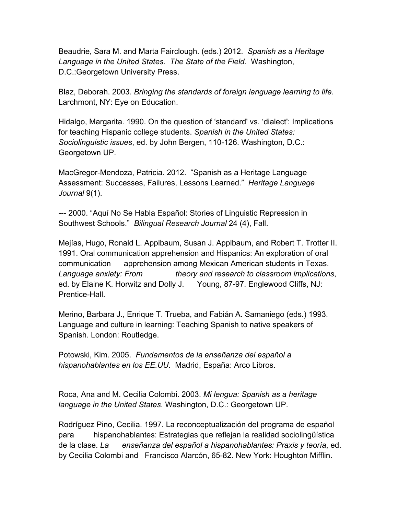Beaudrie, Sara M. and Marta Fairclough. (eds.) 2012. *Spanish as a Heritage Language in the United States. The State of the Field.* Washington, D.C.:Georgetown University Press.

Blaz, Deborah. 2003. *Bringing the standards of foreign language learning to life*. Larchmont, NY: Eye on Education.

Hidalgo, Margarita. 1990. On the question of 'standard' vs. 'dialect': Implications for teaching Hispanic college students. *Spanish in the United States: Sociolinguistic issues*, ed. by John Bergen, 110-126. Washington, D.C.: Georgetown UP.

MacGregor-Mendoza, Patricia. 2012. "Spanish as a Heritage Language Assessment: Successes, Failures, Lessons Learned." *Heritage Language Journal* 9(1).

--- 2000. "Aquí No Se Habla Español: Stories of Linguistic Repression in Southwest Schools." *Bilingual Research Journal* 24 (4), Fall.

Mejías, Hugo, Ronald L. Applbaum, Susan J. Applbaum, and Robert T. Trotter II. 1991. Oral communication apprehension and Hispanics: An exploration of oral communication apprehension among Mexican American students in Texas. *Language anxiety: From theory and research to classroom implications*, ed. by Elaine K. Horwitz and Dolly J. Young, 87-97. Englewood Cliffs, NJ: Prentice-Hall.

Merino, Barbara J., Enrique T. Trueba, and Fabián A. Samaniego (eds.) 1993. Language and culture in learning: Teaching Spanish to native speakers of Spanish. London: Routledge.

Potowski, Kim. 2005. *Fundamentos de la enseñanza del español a hispanohablantes en los EE.UU.* Madrid, España: Arco Libros.

Roca, Ana and M. Cecilia Colombi. 2003. *Mi lengua: Spanish as a heritage language in the United States*. Washington, D.C.: Georgetown UP.

Rodríguez Pino, Cecilia. 1997. La reconceptualización del programa de español para hispanohablantes: Estrategias que reflejan la realidad sociolingüística de la clase. *La enseñanza del español a hispanohablantes: Praxis y teoría*, ed. by Cecilia Colombi and Francisco Alarcón, 65-82. New York: Houghton Mifflin.